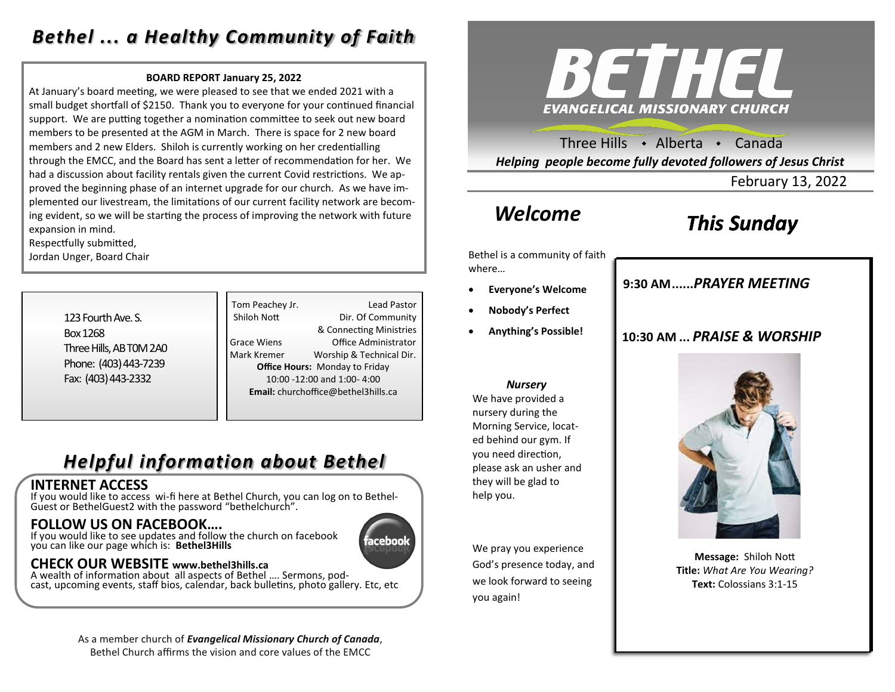### *Bethel ... a Healthy Community of Faith*

#### **BOARD REPORT January 25, 2022**

At January's board meeting, we were pleased to see that we ended 2021 with a small budget shortfall of \$2150. Thank you to everyone for your continued financial support. We are putting together a nomination committee to seek out new board members to be presented at the AGM in March. There is space for 2 new board members and 2 new Elders. Shiloh is currently working on her credentialling through the EMCC, and the Board has sent a letter of recommendation for her. We had a discussion about facility rentals given the current Covid restrictions. We approved the beginning phase of an internet upgrade for our church. As we have implemented our livestream, the limitations of our current facility network are becoming evident, so we will be starting the process of improving the network with future expansion in mind.

Respectfully submitted,

Jordan Unger, Board Chair

| 123 Fourth Ave. S.      |
|-------------------------|
| <b>Box 1268</b>         |
| Three Hills, AB TOM 2A0 |
| Phone: (403) 443-7239   |
| Fax: (403) 443-2332     |

Tom Peachey Jr. **Lead Pastor** Shiloh Nott Dir. Of Community & Connecting Ministries Grace Wiens Office Administrator Mark Kremer Worship & Technical Dir. **Office Hours:** Monday to Friday 10:00 -12:00 and 1:00- 4:00 **Email:** churchoffice@bethel3hills.ca

ıceboo

# *Helpful information about Bethel*

### **INTERNET ACCESS**

If you would like to access wi-fi here at Bethel Church, you can log on to Bethel-Guest or BethelGuest2 with the password "bethelchurch".

### **FOLLOW US ON FACEBOOK….**

If you would like to see updates and follow the church on facebook you can like our page which is: **Bethel3Hills**

### **CHECK OUR WEBSITE www.bethel3hills.ca**

A wealth of information about all aspects of Bethel …. Sermons, podcast, upcoming events, staff bios, calendar, back bulletins, photo gallery. Etc, etc

#### As a member church of *Evangelical Missionary Church of Canada*, Bethel Church affirms the vision and core values of the EMCC



Three Hills . Alberta . Canada *Helping people become fully devoted followers of Jesus Christ*

February 13, 2022

## *Welcome*

# *This Sunday*

Bethel is a community of faith where…

- **Everyone's Welcome**
- **Nobody's Perfect**
- **Anything's Possible!**

**9:30 AM......***SUNDAY SCHOOL* **9:30 AM......***PRAYER MEETING* 

### **10:30 AM ...** *PRAISE & WORSHIP*



We have provided a nursery during the Morning Service, located behind our gym. If you need direction, please ask an usher and they will be glad to help you.

We pray you experience God's presence today, and we look forward to seeing you again!



**Message:** Shiloh Nott **Title:** *What Are You Wearing?* **Text:** Colossians 3:1-15